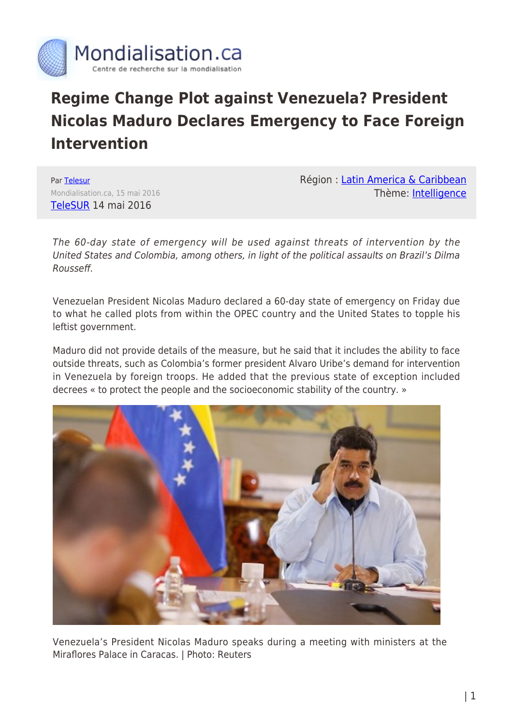

## **Regime Change Plot against Venezuela? President Nicolas Maduro Declares Emergency to Face Foreign Intervention**

Par [Telesur](https://www.mondialisation.ca/author/telesur) Mondialisation.ca, 15 mai 2016 [TeleSUR](http://www.telesurtv.net/english/news/Nicolas-Maduro-Declares-Emergency-to-Face-Foreign-Intervention-20160514-0002.html) 14 mai 2016

Région : [Latin America & Caribbean](https://www.mondialisation.ca/region/latin-america-caribbean) Thème: [Intelligence](https://www.mondialisation.ca/theme/intelligence)

The 60-day state of emergency will be used against threats of intervention by the United States and Colombia, among others, in light of the political assaults on Brazil's Dilma Rousseff.

Venezuelan President Nicolas Maduro declared a 60-day state of emergency on Friday due to what he called plots from within the OPEC country and the United States to topple his leftist government.

Maduro did not provide details of the measure, but he said that it includes the ability to face outside threats, such as Colombia's former president Alvaro Uribe's demand for intervention in Venezuela by foreign troops. He added that the previous state of exception included decrees « to protect the people and the socioeconomic stability of the country. »



Venezuela's President Nicolas Maduro speaks during a meeting with ministers at the Miraflores Palace in Caracas. | Photo: Reuters